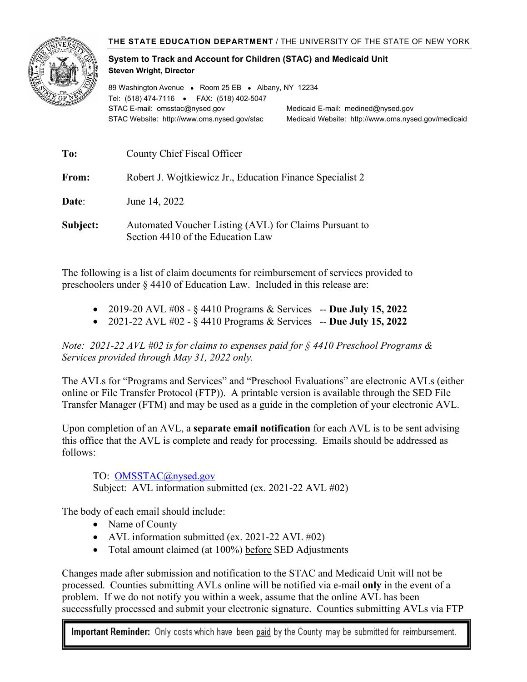

## **System to Track and Account for Children (STAC) and Medicaid Unit Steven Wright, Director**

89 Washington Avenue • Room 25 EB • Albany, NY 12234 Tel: (518) 474-7116 • FAX: (518) 402-5047 STAC E-mail: omsstac@nysed.gov Medicaid E-mail: medined@nysed.gov STAC Website: http://www.oms.nysed.gov/stac Medicaid Website: http://www.oms.nysed.gov/medicaid

| To:      | County Chief Fiscal Officer                                                                 |
|----------|---------------------------------------------------------------------------------------------|
| From:    | Robert J. Wojtkiewicz Jr., Education Finance Specialist 2                                   |
| Date:    | June 14, 2022                                                                               |
| Subject: | Automated Voucher Listing (AVL) for Claims Pursuant to<br>Section 4410 of the Education Law |

The following is a list of claim documents for reimbursement of services provided to preschoolers under § 4410 of Education Law. Included in this release are:

- 2019-20 AVL #08 § 4410 Programs & Services -- **Due July 15, 2022**
- 2021-22 AVL #02 § 4410 Programs & Services -- **Due July 15, 2022**

*Note: 2021-22 AVL #02 is for claims to expenses paid for § 4410 Preschool Programs & Services provided through May 31, 2022 only.*

The AVLs for "Programs and Services" and "Preschool Evaluations" are electronic AVLs (either online or File Transfer Protocol (FTP)). A printable version is available through the SED File Transfer Manager (FTM) and may be used as a guide in the completion of your electronic AVL.

Upon completion of an AVL, a **separate email notification** for each AVL is to be sent advising this office that the AVL is complete and ready for processing. Emails should be addressed as follows:

TO: OMSSTAC@nysed.gov

Subject: AVL information submitted (ex. 2021-22 AVL #02)

The body of each email should include:

- Name of County
- AVL information submitted (ex. 2021-22 AVL #02)
- Total amount claimed (at 100%) before SED Adjustments

Changes made after submission and notification to the STAC and Medicaid Unit will not be processed. Counties submitting AVLs online will be notified via e-mail **only** in the event of a problem. If we do not notify you within a week, assume that the online AVL has been successfully processed and submit your electronic signature. Counties submitting AVLs via FTP

Important Reminder: Only costs which have been paid by the County may be submitted for reimbursement.